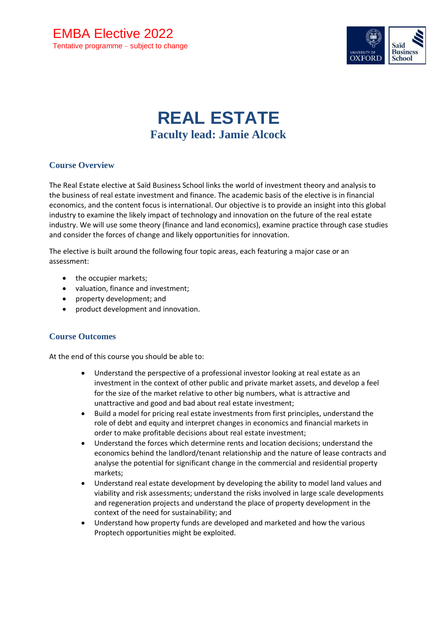

# **REAL ESTATE Faculty lead: Jamie Alcock**

## **Course Overview**

The Real Estate elective at Saïd Business School links the world of investment theory and analysis to the business of real estate investment and finance. The academic basis of the elective is in financial economics, and the content focus is international. Our objective is to provide an insight into this global industry to examine the likely impact of technology and innovation on the future of the real estate industry. We will use some theory (finance and land economics), examine practice through case studies and consider the forces of change and likely opportunities for innovation.

The elective is built around the following four topic areas, each featuring a major case or an assessment:

- the occupier markets;
- valuation, finance and investment;
- property development; and
- product development and innovation.

## **Course Outcomes**

At the end of this course you should be able to:

- Understand the perspective of a professional investor looking at real estate as an investment in the context of other public and private market assets, and develop a feel for the size of the market relative to other big numbers, what is attractive and unattractive and good and bad about real estate investment;
- Build a model for pricing real estate investments from first principles, understand the role of debt and equity and interpret changes in economics and financial markets in order to make profitable decisions about real estate investment;
- Understand the forces which determine rents and location decisions; understand the economics behind the landlord/tenant relationship and the nature of lease contracts and analyse the potential for significant change in the commercial and residential property markets;
- Understand real estate development by developing the ability to model land values and viability and risk assessments; understand the risks involved in large scale developments and regeneration projects and understand the place of property development in the context of the need for sustainability; and
- Understand how property funds are developed and marketed and how the various Proptech opportunities might be exploited.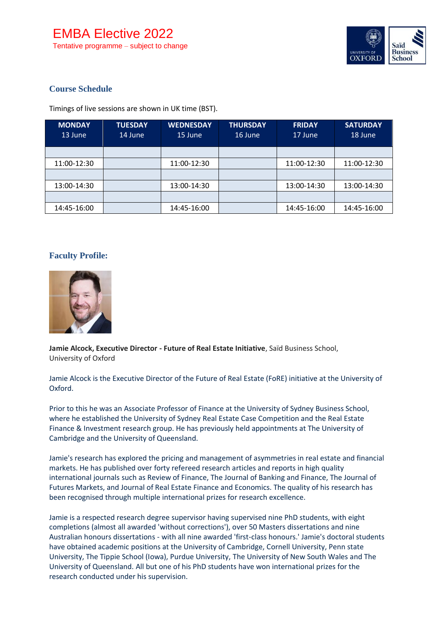

# **Course Schedule**

Timings of live sessions are shown in UK time (BST).

| <b>MONDAY</b><br>13 June | <b>TUESDAY</b><br>14 June | <b>WEDNESDAY</b><br>15 June | <b>THURSDAY</b><br>16 June | <b>FRIDAY</b><br>17 June | <b>SATURDAY</b><br>18 June |
|--------------------------|---------------------------|-----------------------------|----------------------------|--------------------------|----------------------------|
|                          |                           |                             |                            |                          |                            |
| 11:00-12:30              |                           | 11:00-12:30                 |                            | 11:00-12:30              | 11:00-12:30                |
|                          |                           |                             |                            |                          |                            |
| 13:00-14:30              |                           | 13:00-14:30                 |                            | 13:00-14:30              | 13:00-14:30                |
|                          |                           |                             |                            |                          |                            |
| 14:45-16:00              |                           | 14:45-16:00                 |                            | 14:45-16:00              | 14:45-16:00                |

#### **Faculty Profile:**



**Jamie Alcock, Executive Director - Future of Real Estate Initiative**, Saïd Business School, University of Oxford

Jamie Alcock is the Executive Director of the Future of Real Estate (FoRE) initiative at the University of Oxford.

Prior to this he was an Associate Professor of Finance at the University of Sydney Business School, where he established the University of Sydney Real Estate Case Competition and the Real Estate Finance & Investment research group. He has previously held appointments at The University of Cambridge and the University of Queensland.

Jamie's research has explored the pricing and management of asymmetries in real estate and financial markets. He has published over forty refereed research articles and reports in high quality international journals such as Review of Finance, The Journal of Banking and Finance, The Journal of Futures Markets, and Journal of Real Estate Finance and Economics. The quality of his research has been recognised through multiple international prizes for research excellence.

Jamie is a respected research degree supervisor having supervised nine PhD students, with eight completions (almost all awarded 'without corrections'), over 50 Masters dissertations and nine Australian honours dissertations - with all nine awarded 'first-class honours.' Jamie's doctoral students have obtained academic positions at the University of Cambridge, Cornell University, Penn state University, The Tippie School (Iowa), Purdue University, The University of New South Wales and The University of Queensland. All but one of his PhD students have won international prizes for the research conducted under his supervision.